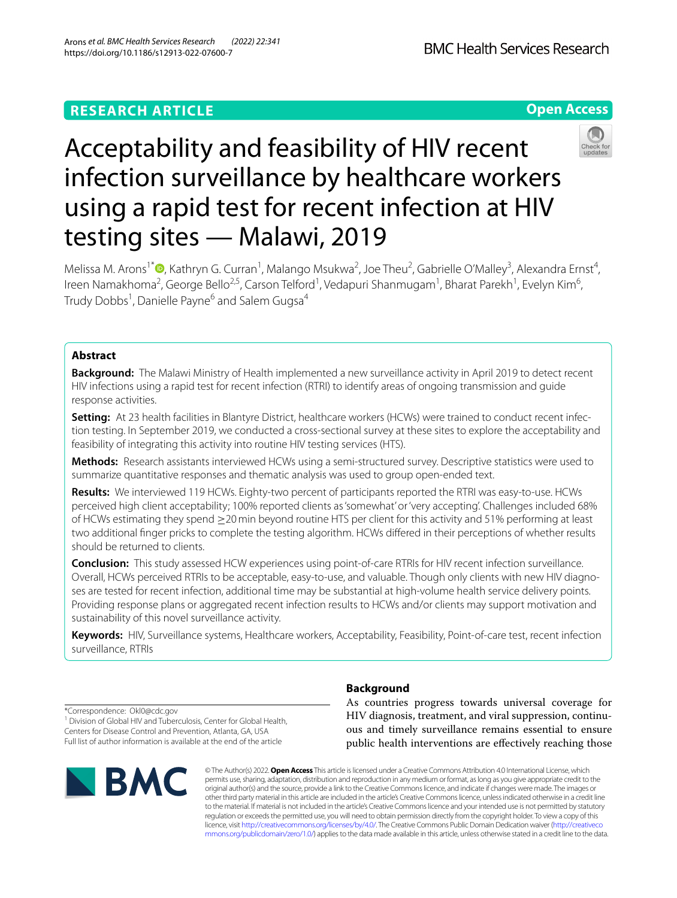# **RESEARCH ARTICLE**

**Open Access**

# Acceptability and feasibility of HIV recent infection surveillance by healthcare workers using a rapid test for recent infection at HIV testing sites — Malawi, 2019

Melissa M. Arons<sup>1\*</sup><sup>®</sup>[,](http://orcid.org/0000-0003-2442-3692) Kathryn G. Curran<sup>1</sup>, Malango Msukwa<sup>2</sup>, Joe Theu<sup>2</sup>, Gabrielle O'Malley<sup>3</sup>, Alexandra Ernst<sup>4</sup>, lreen Namakhoma<sup>2</sup>, George Bello<sup>2,5</sup>, Carson Telford<sup>1</sup>, Vedapuri Shanmugam<sup>1</sup>, Bharat Parekh<sup>1</sup>, Evelyn Kim<sup>6</sup>, Trudy Dobbs<sup>1</sup>, Danielle Payne<sup>6</sup> and Salem Gugsa<sup>4</sup>

## **Abstract**

**Background:** The Malawi Ministry of Health implemented a new surveillance activity in April 2019 to detect recent HIV infections using a rapid test for recent infection (RTRI) to identify areas of ongoing transmission and guide response activities.

**Setting:** At 23 health facilities in Blantyre District, healthcare workers (HCWs) were trained to conduct recent infection testing. In September 2019, we conducted a cross-sectional survey at these sites to explore the acceptability and feasibility of integrating this activity into routine HIV testing services (HTS).

**Methods:** Research assistants interviewed HCWs using a semi-structured survey. Descriptive statistics were used to summarize quantitative responses and thematic analysis was used to group open-ended text.

**Results:** We interviewed 119 HCWs. Eighty-two percent of participants reported the RTRI was easy-to-use. HCWs perceived high client acceptability; 100% reported clients as 'somewhat' or 'very accepting'. Challenges included 68% of HCWs estimating they spend ≥20min beyond routine HTS per client for this activity and 51% performing at least two additional fnger pricks to complete the testing algorithm. HCWs difered in their perceptions of whether results should be returned to clients.

**Conclusion:** This study assessed HCW experiences using point-of-care RTRIs for HIV recent infection surveillance. Overall, HCWs perceived RTRIs to be acceptable, easy-to-use, and valuable. Though only clients with new HIV diagnoses are tested for recent infection, additional time may be substantial at high-volume health service delivery points. Providing response plans or aggregated recent infection results to HCWs and/or clients may support motivation and sustainability of this novel surveillance activity.

**Keywords:** HIV, Surveillance systems, Healthcare workers, Acceptability, Feasibility, Point-of-care test, recent infection surveillance, RTRIs

\*Correspondence: Okl0@cdc.gov

<sup>1</sup> Division of Global HIV and Tuberculosis, Center for Global Health, Centers for Disease Control and Prevention, Atlanta, GA, USA Full list of author information is available at the end of the article



## **Background**

As countries progress towards universal coverage for HIV diagnosis, treatment, and viral suppression, continuous and timely surveillance remains essential to ensure public health interventions are efectively reaching those

© The Author(s) 2022. **Open Access** This article is licensed under a Creative Commons Attribution 4.0 International License, which permits use, sharing, adaptation, distribution and reproduction in any medium or format, as long as you give appropriate credit to the original author(s) and the source, provide a link to the Creative Commons licence, and indicate if changes were made. The images or other third party material in this article are included in the article's Creative Commons licence, unless indicated otherwise in a credit line to the material. If material is not included in the article's Creative Commons licence and your intended use is not permitted by statutory regulation or exceeds the permitted use, you will need to obtain permission directly from the copyright holder. To view a copy of this licence, visit [http://creativecommons.org/licenses/by/4.0/.](http://creativecommons.org/licenses/by/4.0/) The Creative Commons Public Domain Dedication waiver ([http://creativeco](http://creativecommons.org/publicdomain/zero/1.0/) [mmons.org/publicdomain/zero/1.0/](http://creativecommons.org/publicdomain/zero/1.0/)) applies to the data made available in this article, unless otherwise stated in a credit line to the data.

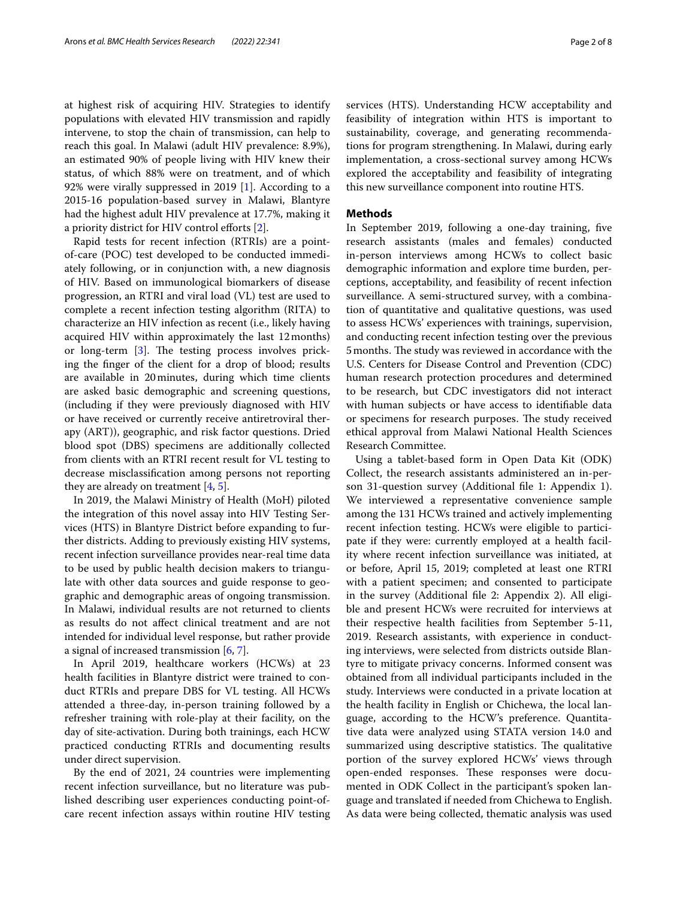at highest risk of acquiring HIV. Strategies to identify populations with elevated HIV transmission and rapidly intervene, to stop the chain of transmission, can help to reach this goal. In Malawi (adult HIV prevalence: 8.9%), an estimated 90% of people living with HIV knew their status, of which 88% were on treatment, and of which 92% were virally suppressed in 2019 [[1\]](#page-6-0). According to a 2015-16 population-based survey in Malawi, Blantyre had the highest adult HIV prevalence at 17.7%, making it a priority district for HIV control efforts [\[2](#page-6-1)].

Rapid tests for recent infection (RTRIs) are a pointof-care (POC) test developed to be conducted immediately following, or in conjunction with, a new diagnosis of HIV. Based on immunological biomarkers of disease progression, an RTRI and viral load (VL) test are used to complete a recent infection testing algorithm (RITA) to characterize an HIV infection as recent (i.e., likely having acquired HIV within approximately the last 12months) or long-term  $[3]$  $[3]$ . The testing process involves pricking the fnger of the client for a drop of blood; results are available in 20minutes, during which time clients are asked basic demographic and screening questions, (including if they were previously diagnosed with HIV or have received or currently receive antiretroviral therapy (ART)), geographic, and risk factor questions. Dried blood spot (DBS) specimens are additionally collected from clients with an RTRI recent result for VL testing to decrease misclassifcation among persons not reporting they are already on treatment  $[4, 5]$  $[4, 5]$  $[4, 5]$ .

In 2019, the Malawi Ministry of Health (MoH) piloted the integration of this novel assay into HIV Testing Services (HTS) in Blantyre District before expanding to further districts. Adding to previously existing HIV systems, recent infection surveillance provides near-real time data to be used by public health decision makers to triangulate with other data sources and guide response to geographic and demographic areas of ongoing transmission. In Malawi, individual results are not returned to clients as results do not afect clinical treatment and are not intended for individual level response, but rather provide a signal of increased transmission [\[6](#page-6-5), [7\]](#page-6-6).

In April 2019, healthcare workers (HCWs) at 23 health facilities in Blantyre district were trained to conduct RTRIs and prepare DBS for VL testing. All HCWs attended a three-day, in-person training followed by a refresher training with role-play at their facility, on the day of site-activation. During both trainings, each HCW practiced conducting RTRIs and documenting results under direct supervision.

By the end of 2021, 24 countries were implementing recent infection surveillance, but no literature was published describing user experiences conducting point-ofcare recent infection assays within routine HIV testing services (HTS). Understanding HCW acceptability and feasibility of integration within HTS is important to sustainability, coverage, and generating recommendations for program strengthening. In Malawi, during early implementation, a cross-sectional survey among HCWs explored the acceptability and feasibility of integrating this new surveillance component into routine HTS.

#### **Methods**

In September 2019, following a one-day training, fve research assistants (males and females) conducted in-person interviews among HCWs to collect basic demographic information and explore time burden, perceptions, acceptability, and feasibility of recent infection surveillance. A semi-structured survey, with a combination of quantitative and qualitative questions, was used to assess HCWs' experiences with trainings, supervision, and conducting recent infection testing over the previous 5 months. The study was reviewed in accordance with the U.S. Centers for Disease Control and Prevention (CDC) human research protection procedures and determined to be research, but CDC investigators did not interact with human subjects or have access to identifable data or specimens for research purposes. The study received ethical approval from Malawi National Health Sciences Research Committee.

Using a tablet-based form in Open Data Kit (ODK) Collect, the research assistants administered an in-person 31-question survey (Additional fle 1: Appendix 1). We interviewed a representative convenience sample among the 131 HCWs trained and actively implementing recent infection testing. HCWs were eligible to participate if they were: currently employed at a health facility where recent infection surveillance was initiated, at or before, April 15, 2019; completed at least one RTRI with a patient specimen; and consented to participate in the survey (Additional fle 2: Appendix 2). All eligible and present HCWs were recruited for interviews at their respective health facilities from September 5-11, 2019. Research assistants, with experience in conducting interviews, were selected from districts outside Blantyre to mitigate privacy concerns. Informed consent was obtained from all individual participants included in the study. Interviews were conducted in a private location at the health facility in English or Chichewa, the local language, according to the HCW's preference. Quantitative data were analyzed using STATA version 14.0 and summarized using descriptive statistics. The qualitative portion of the survey explored HCWs' views through open-ended responses. These responses were documented in ODK Collect in the participant's spoken language and translated if needed from Chichewa to English. As data were being collected, thematic analysis was used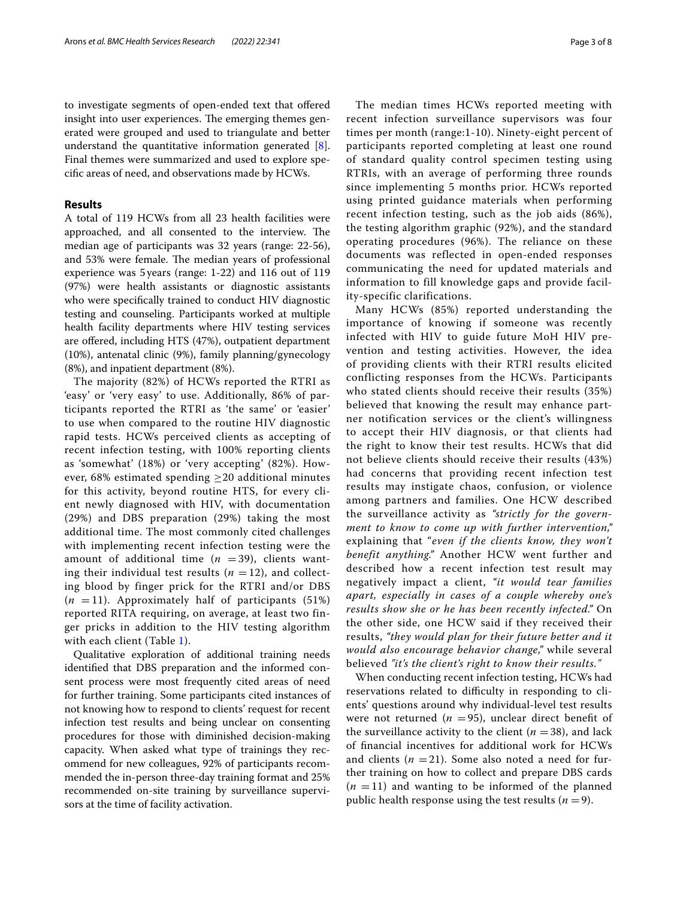to investigate segments of open-ended text that ofered insight into user experiences. The emerging themes generated were grouped and used to triangulate and better understand the quantitative information generated [\[8](#page-7-0)]. Final themes were summarized and used to explore specifc areas of need, and observations made by HCWs.

#### **Results**

A total of 119 HCWs from all 23 health facilities were approached, and all consented to the interview. The median age of participants was 32 years (range: 22-56), and 53% were female. The median years of professional experience was 5years (range: 1-22) and 116 out of 119 (97%) were health assistants or diagnostic assistants who were specifcally trained to conduct HIV diagnostic testing and counseling. Participants worked at multiple health facility departments where HIV testing services are ofered, including HTS (47%), outpatient department (10%), antenatal clinic (9%), family planning/gynecology (8%), and inpatient department (8%).

The majority (82%) of HCWs reported the RTRI as 'easy' or 'very easy' to use. Additionally, 86% of participants reported the RTRI as 'the same' or 'easier' to use when compared to the routine HIV diagnostic rapid tests. HCWs perceived clients as accepting of recent infection testing, with 100% reporting clients as 'somewhat' (18%) or 'very accepting' (82%). However, 68% estimated spending  $\geq$ 20 additional minutes for this activity, beyond routine HTS, for every client newly diagnosed with HIV, with documentation (29%) and DBS preparation (29%) taking the most additional time. The most commonly cited challenges with implementing recent infection testing were the amount of additional time  $(n = 39)$ , clients wanting their individual test results  $(n = 12)$ , and collecting blood by finger prick for the RTRI and/or DBS  $(n = 11)$ . Approximately half of participants (51%) reported RITA requiring, on average, at least two finger pricks in addition to the HIV testing algorithm with each client (Table [1](#page-3-0)).

Qualitative exploration of additional training needs identifed that DBS preparation and the informed consent process were most frequently cited areas of need for further training. Some participants cited instances of not knowing how to respond to clients' request for recent infection test results and being unclear on consenting procedures for those with diminished decision-making capacity. When asked what type of trainings they recommend for new colleagues, 92% of participants recommended the in-person three-day training format and 25% recommended on-site training by surveillance supervisors at the time of facility activation.

The median times HCWs reported meeting with recent infection surveillance supervisors was four times per month (range:1-10). Ninety-eight percent of participants reported completing at least one round of standard quality control specimen testing using RTRIs, with an average of performing three rounds since implementing 5 months prior. HCWs reported using printed guidance materials when performing recent infection testing, such as the job aids (86%), the testing algorithm graphic (92%), and the standard operating procedures (96%). The reliance on these documents was reflected in open-ended responses communicating the need for updated materials and information to fill knowledge gaps and provide facility-specific clarifications.

Many HCWs (85%) reported understanding the importance of knowing if someone was recently infected with HIV to guide future MoH HIV prevention and testing activities. However, the idea of providing clients with their RTRI results elicited conflicting responses from the HCWs. Participants who stated clients should receive their results (35%) believed that knowing the result may enhance partner notification services or the client's willingness to accept their HIV diagnosis, or that clients had the right to know their test results. HCWs that did not believe clients should receive their results (43%) had concerns that providing recent infection test results may instigate chaos, confusion, or violence among partners and families. One HCW described the surveillance activity as *"strictly for the government to know to come up with further intervention,"* explaining that "*even if the clients know, they won't benefit anything."* Another HCW went further and described how a recent infection test result may negatively impact a client, *"it would tear families apart, especially in cases of a couple whereby one's results show she or he has been recently infected."* On the other side, one HCW said if they received their results, *"they would plan for their future better and it would also encourage behavior change,"* while several believed *"it's the client's right to know their results."*

When conducting recent infection testing, HCWs had reservations related to difficulty in responding to clients' questions around why individual-level test results were not returned ( $n = 95$ ), unclear direct benefit of the surveillance activity to the client  $(n = 38)$ , and lack of fnancial incentives for additional work for HCWs and clients  $(n = 21)$ . Some also noted a need for further training on how to collect and prepare DBS cards  $(n = 11)$  and wanting to be informed of the planned public health response using the test results  $(n=9)$ .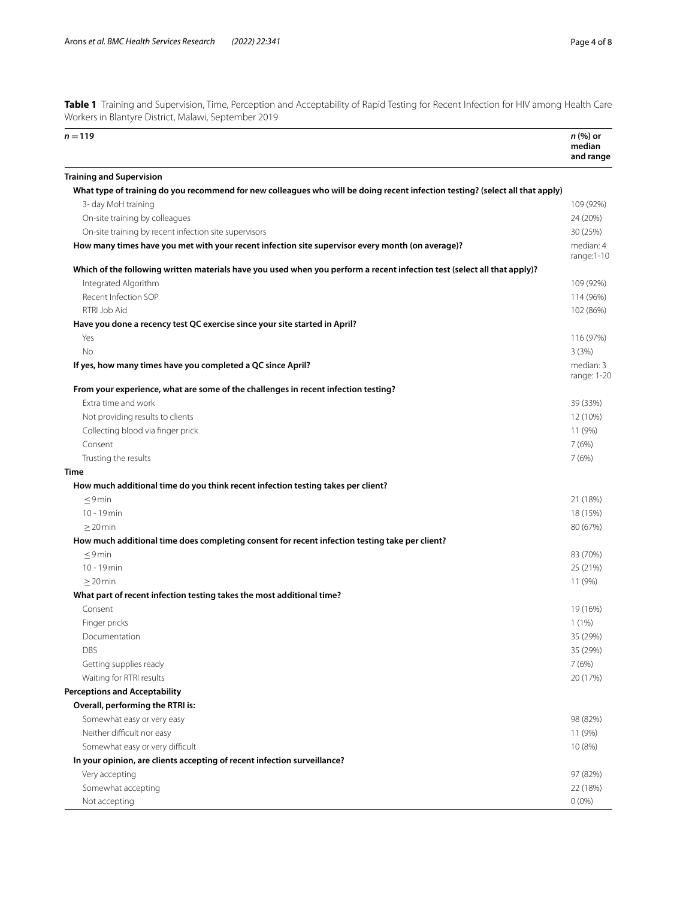<span id="page-3-0"></span>**Table 1** Training and Supervision, Time, Perception and Acceptability of Rapid Testing for Recent Infection for HIV among Health Care Workers in Blantyre District, Malawi, September 2019

| $n = 119$                                                                                                                     | <i>n</i> (%) or<br>median<br>and range |
|-------------------------------------------------------------------------------------------------------------------------------|----------------------------------------|
| <b>Training and Supervision</b>                                                                                               |                                        |
| What type of training do you recommend for new colleagues who will be doing recent infection testing? (select all that apply) |                                        |
| 3- day MoH training                                                                                                           | 109 (92%)                              |
| On-site training by colleagues                                                                                                | 24 (20%)                               |
| On-site training by recent infection site supervisors                                                                         | 30 (25%)                               |
| How many times have you met with your recent infection site supervisor every month (on average)?                              | median: 4<br>range:1-10                |
| Which of the following written materials have you used when you perform a recent infection test (select all that apply)?      |                                        |
| Integrated Algorithm                                                                                                          | 109 (92%)                              |
| Recent Infection SOP                                                                                                          | 114 (96%)                              |
| RTRI Job Aid                                                                                                                  | 102 (86%)                              |
| Have you done a recency test QC exercise since your site started in April?                                                    |                                        |
| Yes                                                                                                                           | 116 (97%)                              |
| No                                                                                                                            | 3(3%)                                  |
| If yes, how many times have you completed a QC since April?                                                                   | median: 3<br>range: 1-20               |
| From your experience, what are some of the challenges in recent infection testing?                                            |                                        |
| Extra time and work                                                                                                           | 39 (33%)                               |
| Not providing results to clients                                                                                              | 12 (10%)                               |
| Collecting blood via finger prick                                                                                             | 11 (9%)                                |
| Consent                                                                                                                       | 7(6%)                                  |
| Trusting the results                                                                                                          | 7(6%)                                  |
| <b>Time</b>                                                                                                                   |                                        |
| How much additional time do you think recent infection testing takes per client?                                              |                                        |
| $\leq$ 9 min                                                                                                                  | 21 (18%)                               |
| 10 - 19 min                                                                                                                   | 18 (15%)                               |
| $\geq$ 20 min                                                                                                                 | 80 (67%)                               |
| How much additional time does completing consent for recent infection testing take per client?                                |                                        |
| $\leq$ 9 min                                                                                                                  | 83 (70%)                               |
| 10 - 19 min                                                                                                                   | 25 (21%)                               |
| $\geq$ 20 min                                                                                                                 | 11 (9%)                                |
| What part of recent infection testing takes the most additional time?                                                         |                                        |
| Consent                                                                                                                       | 19 (16%)                               |
| Finger pricks                                                                                                                 | 1(1%)                                  |
| Documentation                                                                                                                 | 35 (29%)                               |
| DBS                                                                                                                           | 35 (29%)                               |
| Getting supplies ready                                                                                                        | 7(6%)                                  |
| Waiting for RTRI results                                                                                                      | 20 (17%)                               |
| <b>Perceptions and Acceptability</b>                                                                                          |                                        |
| Overall, performing the RTRI is:                                                                                              |                                        |
| Somewhat easy or very easy                                                                                                    | 98 (82%)                               |
| Neither difficult nor easy                                                                                                    | 11 (9%)                                |
| Somewhat easy or very difficult                                                                                               | 10 (8%)                                |
| In your opinion, are clients accepting of recent infection surveillance?                                                      |                                        |
| Very accepting                                                                                                                | 97 (82%)                               |
| Somewhat accepting                                                                                                            | 22 (18%)                               |
| Not accepting                                                                                                                 | $0(0\%)$                               |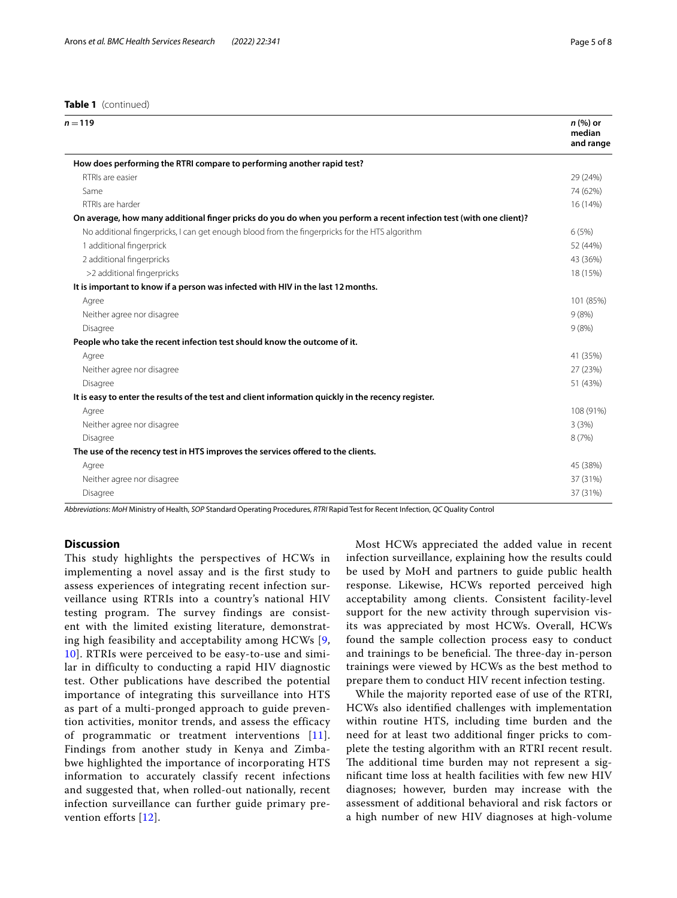#### **Table 1** (continued)

| $n = 119$                                                                                                           | n (%) or<br>median<br>and range |
|---------------------------------------------------------------------------------------------------------------------|---------------------------------|
| How does performing the RTRI compare to performing another rapid test?                                              |                                 |
| RTRIs are easier                                                                                                    | 29 (24%)                        |
| Same                                                                                                                | 74 (62%)                        |
| RTRIs are harder                                                                                                    | 16 (14%)                        |
| On average, how many additional finger pricks do you do when you perform a recent infection test (with one client)? |                                 |
| No additional fingerpricks, I can get enough blood from the fingerpricks for the HTS algorithm                      | 6(5%)                           |
| 1 additional fingerprick                                                                                            | 52 (44%)                        |
| 2 additional fingerpricks                                                                                           | 43 (36%)                        |
| >2 additional fingerpricks                                                                                          | 18 (15%)                        |
| It is important to know if a person was infected with HIV in the last 12 months.                                    |                                 |
| Agree                                                                                                               | 101 (85%)                       |
| Neither agree nor disagree                                                                                          | 9(8%)                           |
| Disagree                                                                                                            | 9(8%)                           |
| People who take the recent infection test should know the outcome of it.                                            |                                 |
| Agree                                                                                                               | 41 (35%)                        |
| Neither agree nor disagree                                                                                          | 27 (23%)                        |
| Disagree                                                                                                            | 51 (43%)                        |
| It is easy to enter the results of the test and client information quickly in the recency register.                 |                                 |
| Agree                                                                                                               | 108 (91%)                       |
| Neither agree nor disagree                                                                                          | 3(3%)                           |
| Disagree                                                                                                            | 8 (7%)                          |
| The use of the recency test in HTS improves the services offered to the clients.                                    |                                 |
| Agree                                                                                                               | 45 (38%)                        |
| Neither agree nor disagree                                                                                          | 37 (31%)                        |
| Disagree                                                                                                            | 37 (31%)                        |

*Abbreviations*: *MoH* Ministry of Health, *SOP* Standard Operating Procedures, *RTRI* Rapid Test for Recent Infection, *QC* Quality Control

#### **Discussion**

This study highlights the perspectives of HCWs in implementing a novel assay and is the first study to assess experiences of integrating recent infection surveillance using RTRIs into a country's national HIV testing program. The survey findings are consistent with the limited existing literature, demonstrating high feasibility and acceptability among HCWs [\[9](#page-7-1), [10\]](#page-7-2). RTRIs were perceived to be easy-to-use and similar in difficulty to conducting a rapid HIV diagnostic test. Other publications have described the potential importance of integrating this surveillance into HTS as part of a multi-pronged approach to guide prevention activities, monitor trends, and assess the efficacy of programmatic or treatment interventions [[11\]](#page-7-3). Findings from another study in Kenya and Zimbabwe highlighted the importance of incorporating HTS information to accurately classify recent infections and suggested that, when rolled-out nationally, recent infection surveillance can further guide primary prevention efforts [\[12](#page-7-4)].

Most HCWs appreciated the added value in recent infection surveillance, explaining how the results could be used by MoH and partners to guide public health response. Likewise, HCWs reported perceived high acceptability among clients. Consistent facility-level support for the new activity through supervision visits was appreciated by most HCWs. Overall, HCWs found the sample collection process easy to conduct and trainings to be beneficial. The three-day in-person trainings were viewed by HCWs as the best method to prepare them to conduct HIV recent infection testing.

While the majority reported ease of use of the RTRI, HCWs also identifed challenges with implementation within routine HTS, including time burden and the need for at least two additional fnger pricks to complete the testing algorithm with an RTRI recent result. The additional time burden may not represent a signifcant time loss at health facilities with few new HIV diagnoses; however, burden may increase with the assessment of additional behavioral and risk factors or a high number of new HIV diagnoses at high-volume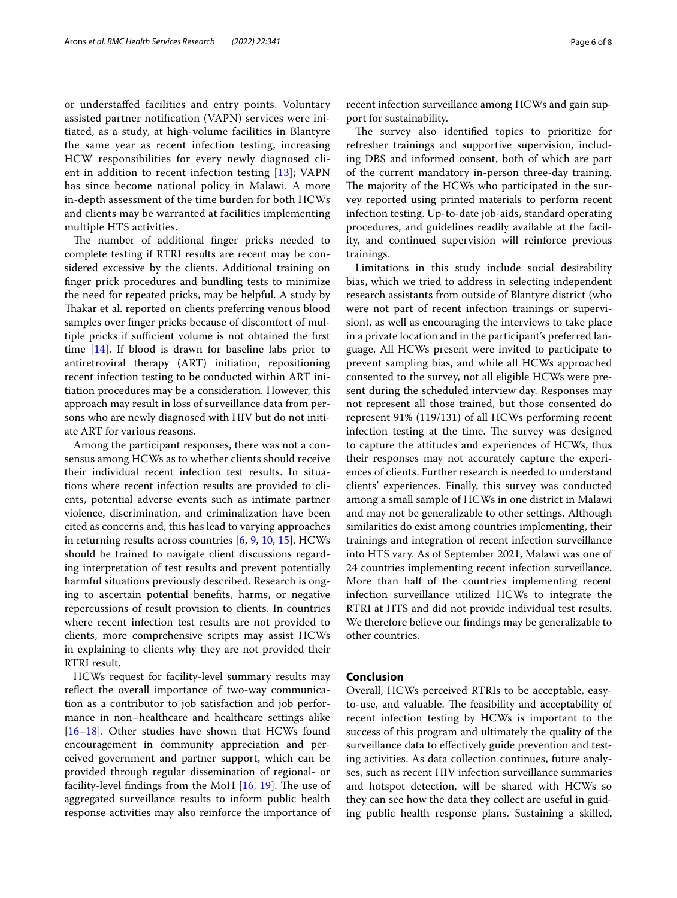or understafed facilities and entry points. Voluntary assisted partner notifcation (VAPN) services were initiated, as a study, at high-volume facilities in Blantyre the same year as recent infection testing, increasing HCW responsibilities for every newly diagnosed client in addition to recent infection testing [\[13\]](#page-7-5); VAPN has since become national policy in Malawi. A more in-depth assessment of the time burden for both HCWs and clients may be warranted at facilities implementing multiple HTS activities.

The number of additional finger pricks needed to complete testing if RTRI results are recent may be considered excessive by the clients. Additional training on fnger prick procedures and bundling tests to minimize the need for repeated pricks, may be helpful. A study by Takar et al. reported on clients preferring venous blood samples over fnger pricks because of discomfort of multiple pricks if sufficient volume is not obtained the first time  $[14]$  $[14]$ . If blood is drawn for baseline labs prior to antiretroviral therapy (ART) initiation, repositioning recent infection testing to be conducted within ART initiation procedures may be a consideration. However, this approach may result in loss of surveillance data from persons who are newly diagnosed with HIV but do not initiate ART for various reasons.

Among the participant responses, there was not a consensus among HCWs as to whether clients should receive their individual recent infection test results. In situations where recent infection results are provided to clients, potential adverse events such as intimate partner violence, discrimination, and criminalization have been cited as concerns and, this has lead to varying approaches in returning results across countries [[6,](#page-6-5) [9](#page-7-1), [10](#page-7-2), [15\]](#page-7-7). HCWs should be trained to navigate client discussions regarding interpretation of test results and prevent potentially harmful situations previously described. Research is onging to ascertain potential benefts, harms, or negative repercussions of result provision to clients. In countries where recent infection test results are not provided to clients, more comprehensive scripts may assist HCWs in explaining to clients why they are not provided their RTRI result.

HCWs request for facility-level summary results may reflect the overall importance of two-way communication as a contributor to job satisfaction and job performance in non–healthcare and healthcare settings alike [[16–](#page-7-8)[18](#page-7-9)]. Other studies have shown that HCWs found encouragement in community appreciation and perceived government and partner support, which can be provided through regular dissemination of regional- or facility-level findings from the MoH  $[16, 19]$  $[16, 19]$  $[16, 19]$  $[16, 19]$ . The use of aggregated surveillance results to inform public health response activities may also reinforce the importance of recent infection surveillance among HCWs and gain support for sustainability.

The survey also identified topics to prioritize for refresher trainings and supportive supervision, including DBS and informed consent, both of which are part of the current mandatory in-person three-day training. The majority of the HCWs who participated in the survey reported using printed materials to perform recent infection testing. Up-to-date job-aids, standard operating procedures, and guidelines readily available at the facility, and continued supervision will reinforce previous trainings.

Limitations in this study include social desirability bias, which we tried to address in selecting independent research assistants from outside of Blantyre district (who were not part of recent infection trainings or supervision), as well as encouraging the interviews to take place in a private location and in the participant's preferred language. All HCWs present were invited to participate to prevent sampling bias, and while all HCWs approached consented to the survey, not all eligible HCWs were present during the scheduled interview day. Responses may not represent all those trained, but those consented do represent 91% (119/131) of all HCWs performing recent infection testing at the time. The survey was designed to capture the attitudes and experiences of HCWs, thus their responses may not accurately capture the experiences of clients. Further research is needed to understand clients' experiences. Finally, this survey was conducted among a small sample of HCWs in one district in Malawi and may not be generalizable to other settings. Although similarities do exist among countries implementing, their trainings and integration of recent infection surveillance into HTS vary. As of September 2021, Malawi was one of 24 countries implementing recent infection surveillance. More than half of the countries implementing recent infection surveillance utilized HCWs to integrate the RTRI at HTS and did not provide individual test results. We therefore believe our fndings may be generalizable to other countries.

#### **Conclusion**

Overall, HCWs perceived RTRIs to be acceptable, easyto-use, and valuable. The feasibility and acceptability of recent infection testing by HCWs is important to the success of this program and ultimately the quality of the surveillance data to efectively guide prevention and testing activities. As data collection continues, future analyses, such as recent HIV infection surveillance summaries and hotspot detection, will be shared with HCWs so they can see how the data they collect are useful in guiding public health response plans. Sustaining a skilled,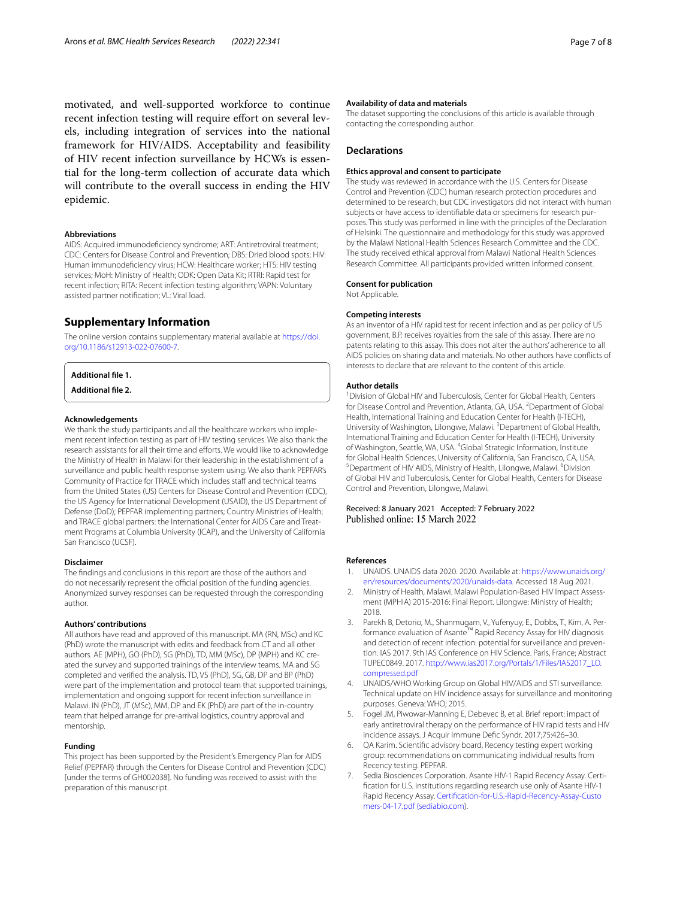motivated, and well-supported workforce to continue recent infection testing will require efort on several levels, including integration of services into the national framework for HIV/AIDS. Acceptability and feasibility of HIV recent infection surveillance by HCWs is essential for the long-term collection of accurate data which will contribute to the overall success in ending the HIV epidemic.

#### **Abbreviations**

AIDS: Acquired immunodeficiency syndrome; ART: Antiretroviral treatment; CDC: Centers for Disease Control and Prevention; DBS: Dried blood spots; HIV: Human immunodefciency virus; HCW: Healthcare worker; HTS: HIV testing services; MoH: Ministry of Health; ODK: Open Data Kit; RTRI: Rapid test for recent infection; RITA: Recent infection testing algorithm; VAPN: Voluntary assisted partner notifcation; VL: Viral load.

#### **Supplementary Information**

The online version contains supplementary material available at [https://doi.](https://doi.org/10.1186/s12913-022-07600-7) [org/10.1186/s12913-022-07600-7](https://doi.org/10.1186/s12913-022-07600-7).

**Additional fle 1.**

**Additional fle 2.**

#### **Acknowledgements**

We thank the study participants and all the healthcare workers who implement recent infection testing as part of HIV testing services. We also thank the research assistants for all their time and eforts. We would like to acknowledge the Ministry of Health in Malawi for their leadership in the establishment of a surveillance and public health response system using. We also thank PEPFAR's Community of Practice for TRACE which includes staff and technical teams from the United States (US) Centers for Disease Control and Prevention (CDC), the US Agency for International Development (USAID), the US Department of Defense (DoD); PEPFAR implementing partners; Country Ministries of Health; and TRACE global partners: the International Center for AIDS Care and Treatment Programs at Columbia University (ICAP), and the University of California San Francisco (UCSF).

#### **Disclaimer**

The fndings and conclusions in this report are those of the authors and do not necessarily represent the official position of the funding agencies. Anonymized survey responses can be requested through the corresponding author.

#### **Authors' contributions**

All authors have read and approved of this manuscript. MA (RN, MSc) and KC (PhD) wrote the manuscript with edits and feedback from CT and all other authors. AE (MPH), GO (PhD), SG (PhD), TD, MM (MSc), DP (MPH) and KC created the survey and supported trainings of the interview teams. MA and SG completed and verifed the analysis. TD, VS (PhD), SG, GB, DP and BP (PhD) were part of the implementation and protocol team that supported trainings, implementation and ongoing support for recent infection surveillance in Malawi. IN (PhD), JT (MSc), MM, DP and EK (PhD) are part of the in-country team that helped arrange for pre-arrival logistics, country approval and mentorship.

#### **Funding**

This project has been supported by the President's Emergency Plan for AIDS Relief (PEPFAR) through the Centers for Disease Control and Prevention (CDC) [under the terms of GH002038]. No funding was received to assist with the preparation of this manuscript.

#### **Availability of data and materials**

The dataset supporting the conclusions of this article is available through contacting the corresponding author.

#### **Declarations**

#### **Ethics approval and consent to participate**

The study was reviewed in accordance with the U.S. Centers for Disease Control and Prevention (CDC) human research protection procedures and determined to be research, but CDC investigators did not interact with human subjects or have access to identifable data or specimens for research purposes. This study was performed in line with the principles of the Declaration of Helsinki. The questionnaire and methodology for this study was approved by the Malawi National Health Sciences Research Committee and the CDC. The study received ethical approval from Malawi National Health Sciences Research Committee. All participants provided written informed consent.

#### **Consent for publication**

Not Applicable.

#### **Competing interests**

As an inventor of a HIV rapid test for recent infection and as per policy of US government, B.P. receives royalties from the sale of this assay. There are no patents relating to this assay. This does not alter the authors' adherence to all AIDS policies on sharing data and materials. No other authors have conficts of interests to declare that are relevant to the content of this article.

#### **Author details**

<sup>1</sup> Division of Global HIV and Tuberculosis, Center for Global Health, Centers for Disease Control and Prevention, Atlanta, GA, USA. <sup>2</sup> Department of Global Health, International Training and Education Center for Health (I-TECH), University of Washington, Lilongwe, Malawi. <sup>3</sup> Department of Global Health, International Training and Education Center for Health (I-TECH), University of Washington, Seattle, WA, USA. <sup>4</sup>Global Strategic Information, Institute for Global Health Sciences, University of California, San Francisco, CA, USA. Department of HIV AIDS, Ministry of Health, Lilongwe, Malawi. <sup>6</sup>Division of Global HIV and Tuberculosis, Center for Global Health, Centers for Disease Control and Prevention, Lilongwe, Malawi.

# Received: 8 January 2021 Accepted: 7 February 2022<br>Published online: 15 March 2022

#### **References**

- <span id="page-6-0"></span>1. UNAIDS. UNAIDS data 2020. 2020. Available at: [https://www.unaids.org/](https://www.unaids.org/en/resources/documents/2020/unaids-data) [en/resources/documents/2020/unaids-data.](https://www.unaids.org/en/resources/documents/2020/unaids-data) Accessed 18 Aug 2021.
- <span id="page-6-1"></span>2. Ministry of Health, Malawi. Malawi Population-Based HIV Impact Assessment (MPHIA) 2015-2016: Final Report. Lilongwe: Ministry of Health; 2018.
- <span id="page-6-2"></span>3. Parekh B, Detorio, M., Shanmugam, V., Yufenyuy, E., Dobbs, T., Kim, A. Performance evaluation of Asante™ Rapid Recency Assay for HIV diagnosis and detection of recent infection: potential for surveillance and prevention. IAS 2017. 9th IAS Conference on HIV Science. Paris, France; Abstract TUPEC0849. 2017. [http://www.ias2017.org/Portals/1/Files/IAS2017\\_LO.](http://www.ias2017.org/Portals/1/Files/IAS2017_LO.compressed.pdf) [compressed.pdf](http://www.ias2017.org/Portals/1/Files/IAS2017_LO.compressed.pdf)
- <span id="page-6-3"></span>4. UNAIDS/WHO Working Group on Global HIV/AIDS and STI surveillance. Technical update on HIV incidence assays for surveillance and monitoring purposes. Geneva: WHO; 2015.
- <span id="page-6-4"></span>5. Fogel JM, Piwowar-Manning E, Debevec B, et al. Brief report: impact of early antiretroviral therapy on the performance of HIV rapid tests and HIV incidence assays. J Acquir Immune Defc Syndr. 2017;75:426–30.
- <span id="page-6-5"></span>6. QA Karim. Scientifc advisory board, Recency testing expert working group: recommendations on communicating individual results from Recency testing. PEPFAR.
- <span id="page-6-6"></span>7. Sedia Biosciences Corporation. Asante HIV-1 Rapid Recency Assay. Certifcation for U.S. institutions regarding research use only of Asante HIV-1 Rapid Recency Assay. [Certifcation-for-U.S.-Rapid-Recency-Assay-Custo](https://www.sediabio.com/wp-content/uploads/2021/06/Certification-for-U.S.-Rapid-Recency-Assay-Customers-04-17.pdf) [mers-04-17.pdf \(sediabio.com\)](https://www.sediabio.com/wp-content/uploads/2021/06/Certification-for-U.S.-Rapid-Recency-Assay-Customers-04-17.pdf).